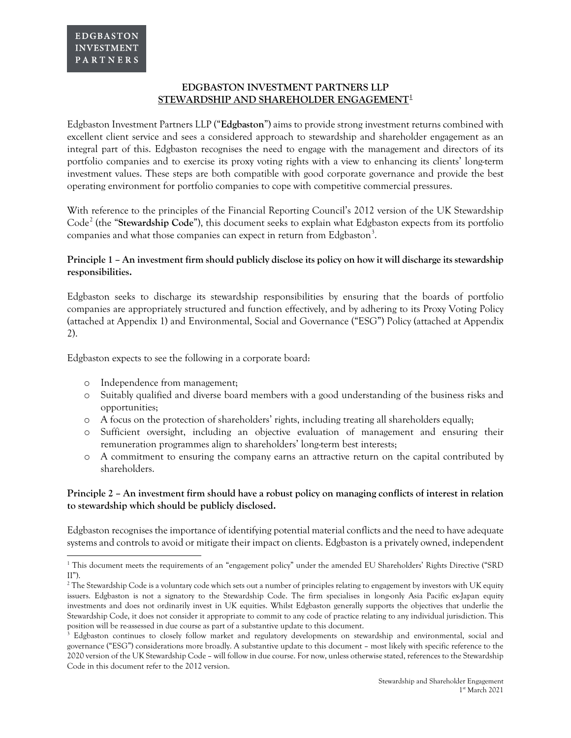## **EDGBASTON INVESTMENT PARTNERS LLP STEWARDSHIP AND SHAREHOLDER ENGAGEMENT[1](#page-0-0)**

Edgbaston Investment Partners LLP ("**Edgbaston**") aims to provide strong investment returns combined with excellent client service and sees a considered approach to stewardship and shareholder engagement as an integral part of this. Edgbaston recognises the need to engage with the management and directors of its portfolio companies and to exercise its proxy voting rights with a view to enhancing its clients' long-term investment values. These steps are both compatible with good corporate governance and provide the best operating environment for portfolio companies to cope with competitive commercial pressures.

With reference to the principles of the Financial Reporting Council's 2012 version of the UK Stewardship Code<sup>[2](#page-0-1)</sup> (the "Stewardship Code"), this document seeks to explain what Edgbaston expects from its portfolio companies and what those companies can expect in return from Edgbaston<sup>[3](#page-0-2)</sup>.

# **Principle 1 – An investment firm should publicly disclose its policy on how it will discharge its stewardship responsibilities.**

Edgbaston seeks to discharge its stewardship responsibilities by ensuring that the boards of portfolio companies are appropriately structured and function effectively, and by adhering to its Proxy Voting Policy (attached at Appendix 1) and Environmental, Social and Governance ("ESG") Policy (attached at Appendix 2).

Edgbaston expects to see the following in a corporate board:

o Independence from management;

 $\overline{a}$ 

- o Suitably qualified and diverse board members with a good understanding of the business risks and opportunities;
- o A focus on the protection of shareholders' rights, including treating all shareholders equally;
- o Sufficient oversight, including an objective evaluation of management and ensuring their remuneration programmes align to shareholders' long-term best interests;
- o A commitment to ensuring the company earns an attractive return on the capital contributed by shareholders.

## **Principle 2 – An investment firm should have a robust policy on managing conflicts of interest in relation to stewardship which should be publicly disclosed.**

Edgbaston recognises the importance of identifying potential material conflicts and the need to have adequate systems and controls to avoid or mitigate their impact on clients. Edgbaston is a privately owned, independent

<span id="page-0-0"></span><sup>1</sup> This document meets the requirements of an "engagement policy" under the amended EU Shareholders' Rights Directive ("SRD  $II$ ").

<span id="page-0-1"></span><sup>&</sup>lt;sup>2</sup> The Stewardship Code is a voluntary code which sets out a number of principles relating to engagement by investors with UK equity issuers. Edgbaston is not a signatory to the Stewardship Code. The firm specialises in long-only Asia Pacific ex-Japan equity investments and does not ordinarily invest in UK equities. Whilst Edgbaston generally supports the objectives that underlie the Stewardship Code, it does not consider it appropriate to commit to any code of practice relating to any individual jurisdiction. This position will be re-assessed in due course as part of a substantive update to this document.<br><sup>3</sup> Edgbaston continues to closely follow market and regulatory developments on stewardship and environmental, social and

<span id="page-0-2"></span>governance ("ESG") considerations more broadly. A substantive update to this document – most likely with specific reference to the 2020 version of the UK Stewardship Code – will follow in due course. For now, unless otherwise stated, references to the Stewardship Code in this document refer to the 2012 version.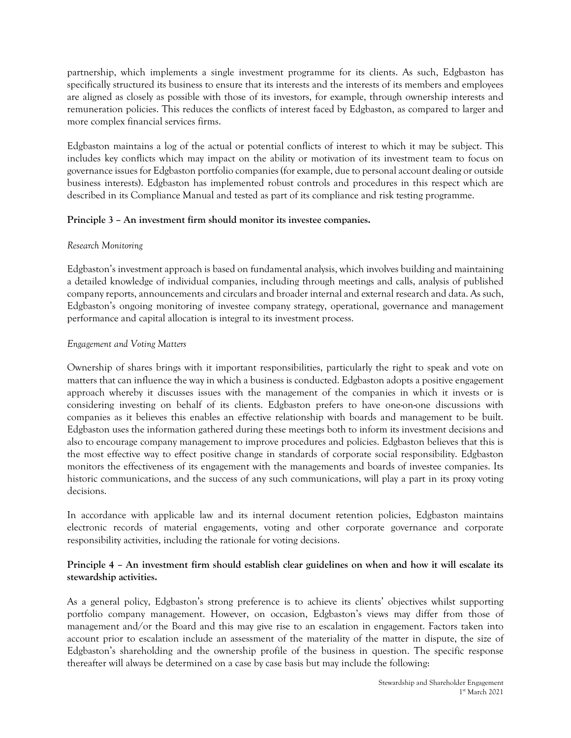partnership, which implements a single investment programme for its clients. As such, Edgbaston has specifically structured its business to ensure that its interests and the interests of its members and employees are aligned as closely as possible with those of its investors, for example, through ownership interests and remuneration policies. This reduces the conflicts of interest faced by Edgbaston, as compared to larger and more complex financial services firms.

Edgbaston maintains a log of the actual or potential conflicts of interest to which it may be subject. This includes key conflicts which may impact on the ability or motivation of its investment team to focus on governance issues for Edgbaston portfolio companies (for example, due to personal account dealing or outside business interests). Edgbaston has implemented robust controls and procedures in this respect which are described in its Compliance Manual and tested as part of its compliance and risk testing programme.

# **Principle 3 – An investment firm should monitor its investee companies.**

### *Research Monitoring*

Edgbaston's investment approach is based on fundamental analysis, which involves building and maintaining a detailed knowledge of individual companies, including through meetings and calls, analysis of published company reports, announcements and circulars and broader internal and external research and data. As such, Edgbaston's ongoing monitoring of investee company strategy, operational, governance and management performance and capital allocation is integral to its investment process.

## *Engagement and Voting Matters*

Ownership of shares brings with it important responsibilities, particularly the right to speak and vote on matters that can influence the way in which a business is conducted. Edgbaston adopts a positive engagement approach whereby it discusses issues with the management of the companies in which it invests or is considering investing on behalf of its clients. Edgbaston prefers to have one-on-one discussions with companies as it believes this enables an effective relationship with boards and management to be built. Edgbaston uses the information gathered during these meetings both to inform its investment decisions and also to encourage company management to improve procedures and policies. Edgbaston believes that this is the most effective way to effect positive change in standards of corporate social responsibility. Edgbaston monitors the effectiveness of its engagement with the managements and boards of investee companies. Its historic communications, and the success of any such communications, will play a part in its proxy voting decisions.

In accordance with applicable law and its internal document retention policies, Edgbaston maintains electronic records of material engagements, voting and other corporate governance and corporate responsibility activities, including the rationale for voting decisions.

## **Principle 4 – An investment firm should establish clear guidelines on when and how it will escalate its stewardship activities.**

As a general policy, Edgbaston's strong preference is to achieve its clients' objectives whilst supporting portfolio company management. However, on occasion, Edgbaston's views may differ from those of management and/or the Board and this may give rise to an escalation in engagement. Factors taken into account prior to escalation include an assessment of the materiality of the matter in dispute, the size of Edgbaston's shareholding and the ownership profile of the business in question. The specific response thereafter will always be determined on a case by case basis but may include the following: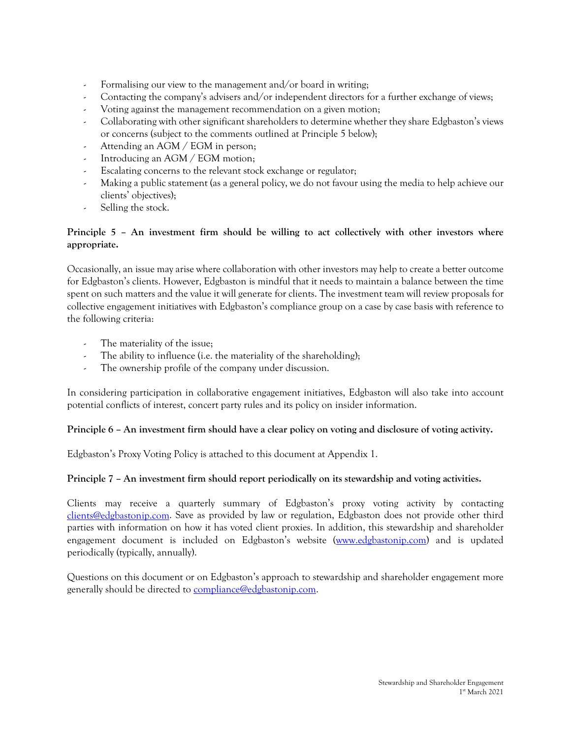- Formalising our view to the management and/or board in writing;
- Contacting the company's advisers and/or independent directors for a further exchange of views;
- Voting against the management recommendation on a given motion;
- Collaborating with other significant shareholders to determine whether they share Edgbaston's views or concerns (subject to the comments outlined at Principle 5 below);
- Attending an AGM / EGM in person;
- Introducing an AGM / EGM motion;
- Escalating concerns to the relevant stock exchange or regulator;
- Making a public statement (as a general policy, we do not favour using the media to help achieve our clients' objectives);
- Selling the stock.

# **Principle 5 – An investment firm should be willing to act collectively with other investors where appropriate.**

Occasionally, an issue may arise where collaboration with other investors may help to create a better outcome for Edgbaston's clients. However, Edgbaston is mindful that it needs to maintain a balance between the time spent on such matters and the value it will generate for clients. The investment team will review proposals for collective engagement initiatives with Edgbaston's compliance group on a case by case basis with reference to the following criteria:

- The materiality of the issue;
- The ability to influence (i.e. the materiality of the shareholding);
- The ownership profile of the company under discussion.

In considering participation in collaborative engagement initiatives, Edgbaston will also take into account potential conflicts of interest, concert party rules and its policy on insider information.

### **Principle 6 – An investment firm should have a clear policy on voting and disclosure of voting activity.**

Edgbaston's Proxy Voting Policy is attached to this document at Appendix 1.

### **Principle 7 – An investment firm should report periodically on its stewardship and voting activities.**

Clients may receive a quarterly summary of Edgbaston's proxy voting activity by contacting [clients@edgbastonip.com.](mailto:clients@edgbastonip.com) Save as provided by law or regulation, Edgbaston does not provide other third parties with information on how it has voted client proxies. In addition, this stewardship and shareholder engagement document is included on Edgbaston's website [\(www.edgbastonip.com\)](http://www.edgbastonip.com/) and is updated periodically (typically, annually).

Questions on this document or on Edgbaston's approach to stewardship and shareholder engagement more generally should be directed to **compliance@edgbastonip.com**.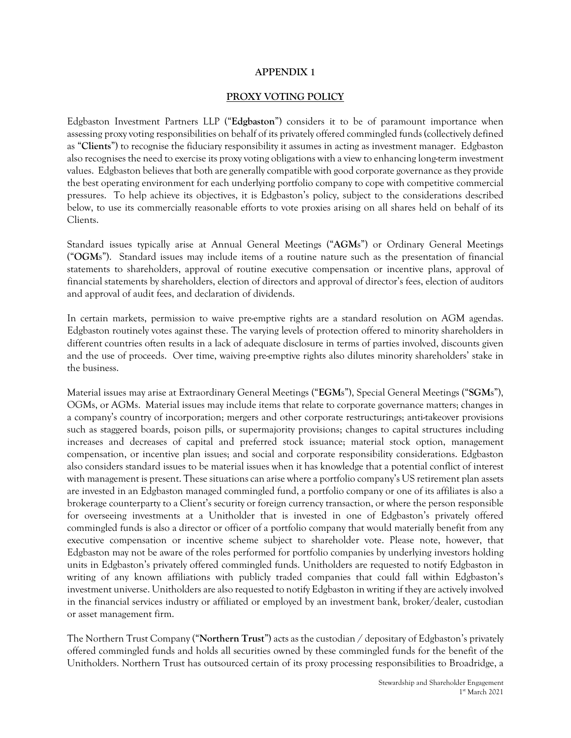### **APPENDIX 1**

#### **PROXY VOTING POLICY**

Edgbaston Investment Partners LLP ("**Edgbaston**") considers it to be of paramount importance when assessing proxy voting responsibilities on behalf of its privately offered commingled funds (collectively defined as "**Clients**") to recognise the fiduciary responsibility it assumes in acting as investment manager. Edgbaston also recognises the need to exercise its proxy voting obligations with a view to enhancing long-term investment values. Edgbaston believes that both are generally compatible with good corporate governance as they provide the best operating environment for each underlying portfolio company to cope with competitive commercial pressures. To help achieve its objectives, it is Edgbaston's policy, subject to the considerations described below, to use its commercially reasonable efforts to vote proxies arising on all shares held on behalf of its Clients.

Standard issues typically arise at Annual General Meetings ("**AGM**s") or Ordinary General Meetings ("**OGM**s"). Standard issues may include items of a routine nature such as the presentation of financial statements to shareholders, approval of routine executive compensation or incentive plans, approval of financial statements by shareholders, election of directors and approval of director's fees, election of auditors and approval of audit fees, and declaration of dividends.

In certain markets, permission to waive pre-emptive rights are a standard resolution on AGM agendas. Edgbaston routinely votes against these. The varying levels of protection offered to minority shareholders in different countries often results in a lack of adequate disclosure in terms of parties involved, discounts given and the use of proceeds. Over time, waiving pre-emptive rights also dilutes minority shareholders' stake in the business.

Material issues may arise at Extraordinary General Meetings ("**EGM**s"), Special General Meetings ("**SGM**s"), OGMs, or AGMs. Material issues may include items that relate to corporate governance matters; changes in a company's country of incorporation; mergers and other corporate restructurings; anti-takeover provisions such as staggered boards, poison pills, or supermajority provisions; changes to capital structures including increases and decreases of capital and preferred stock issuance; material stock option, management compensation, or incentive plan issues; and social and corporate responsibility considerations. Edgbaston also considers standard issues to be material issues when it has knowledge that a potential conflict of interest with management is present. These situations can arise where a portfolio company's US retirement plan assets are invested in an Edgbaston managed commingled fund, a portfolio company or one of its affiliates is also a brokerage counterparty to a Client's security or foreign currency transaction, or where the person responsible for overseeing investments at a Unitholder that is invested in one of Edgbaston's privately offered commingled funds is also a director or officer of a portfolio company that would materially benefit from any executive compensation or incentive scheme subject to shareholder vote. Please note, however, that Edgbaston may not be aware of the roles performed for portfolio companies by underlying investors holding units in Edgbaston's privately offered commingled funds. Unitholders are requested to notify Edgbaston in writing of any known affiliations with publicly traded companies that could fall within Edgbaston's investment universe. Unitholders are also requested to notify Edgbaston in writing if they are actively involved in the financial services industry or affiliated or employed by an investment bank, broker/dealer, custodian or asset management firm.

The Northern Trust Company ("**Northern Trust**") acts as the custodian / depositary of Edgbaston's privately offered commingled funds and holds all securities owned by these commingled funds for the benefit of the Unitholders. Northern Trust has outsourced certain of its proxy processing responsibilities to Broadridge, a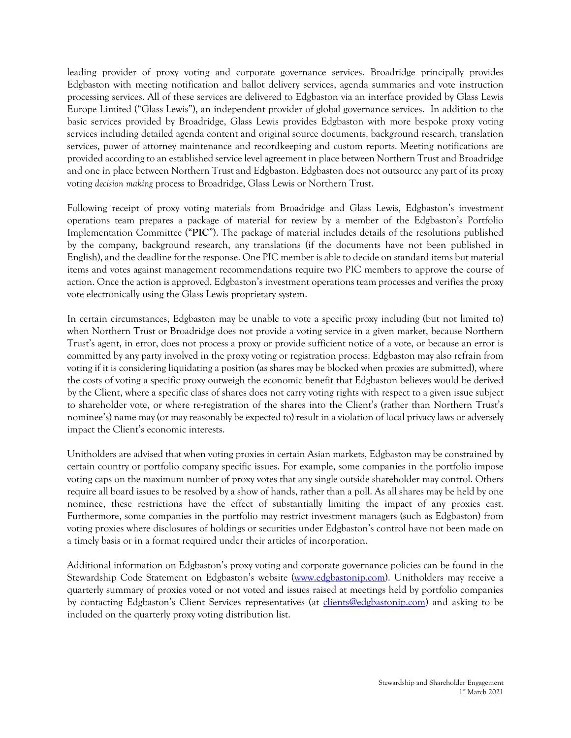leading provider of proxy voting and corporate governance services. Broadridge principally provides Edgbaston with meeting notification and ballot delivery services, agenda summaries and vote instruction processing services. All of these services are delivered to Edgbaston via an interface provided by Glass Lewis Europe Limited ("Glass Lewis"), an independent provider of global governance services. In addition to the basic services provided by Broadridge, Glass Lewis provides Edgbaston with more bespoke proxy voting services including detailed agenda content and original source documents, background research, translation services, power of attorney maintenance and recordkeeping and custom reports. Meeting notifications are provided according to an established service level agreement in place between Northern Trust and Broadridge and one in place between Northern Trust and Edgbaston. Edgbaston does not outsource any part of its proxy voting *decision making* process to Broadridge, Glass Lewis or Northern Trust.

Following receipt of proxy voting materials from Broadridge and Glass Lewis, Edgbaston's investment operations team prepares a package of material for review by a member of the Edgbaston's Portfolio Implementation Committee ("**PIC**"). The package of material includes details of the resolutions published by the company, background research, any translations (if the documents have not been published in English), and the deadline for the response. One PIC member is able to decide on standard items but material items and votes against management recommendations require two PIC members to approve the course of action. Once the action is approved, Edgbaston's investment operations team processes and verifies the proxy vote electronically using the Glass Lewis proprietary system.

In certain circumstances, Edgbaston may be unable to vote a specific proxy including (but not limited to) when Northern Trust or Broadridge does not provide a voting service in a given market, because Northern Trust's agent, in error, does not process a proxy or provide sufficient notice of a vote, or because an error is committed by any party involved in the proxy voting or registration process. Edgbaston may also refrain from voting if it is considering liquidating a position (as shares may be blocked when proxies are submitted), where the costs of voting a specific proxy outweigh the economic benefit that Edgbaston believes would be derived by the Client, where a specific class of shares does not carry voting rights with respect to a given issue subject to shareholder vote, or where re-registration of the shares into the Client's (rather than Northern Trust's nominee's) name may (or may reasonably be expected to) result in a violation of local privacy laws or adversely impact the Client's economic interests.

Unitholders are advised that when voting proxies in certain Asian markets, Edgbaston may be constrained by certain country or portfolio company specific issues. For example, some companies in the portfolio impose voting caps on the maximum number of proxy votes that any single outside shareholder may control. Others require all board issues to be resolved by a show of hands, rather than a poll. As all shares may be held by one nominee, these restrictions have the effect of substantially limiting the impact of any proxies cast. Furthermore, some companies in the portfolio may restrict investment managers (such as Edgbaston) from voting proxies where disclosures of holdings or securities under Edgbaston's control have not been made on a timely basis or in a format required under their articles of incorporation.

Additional information on Edgbaston's proxy voting and corporate governance policies can be found in the Stewardship Code Statement on Edgbaston's website [\(www.edgbastonip.com\)](http://www.edgbastonip.com/). Unitholders may receive a quarterly summary of proxies voted or not voted and issues raised at meetings held by portfolio companies by contacting Edgbaston's Client Services representatives (at [clients@edgbastonip.com\)](mailto:clients@edgbastonip.com) and asking to be included on the quarterly proxy voting distribution list.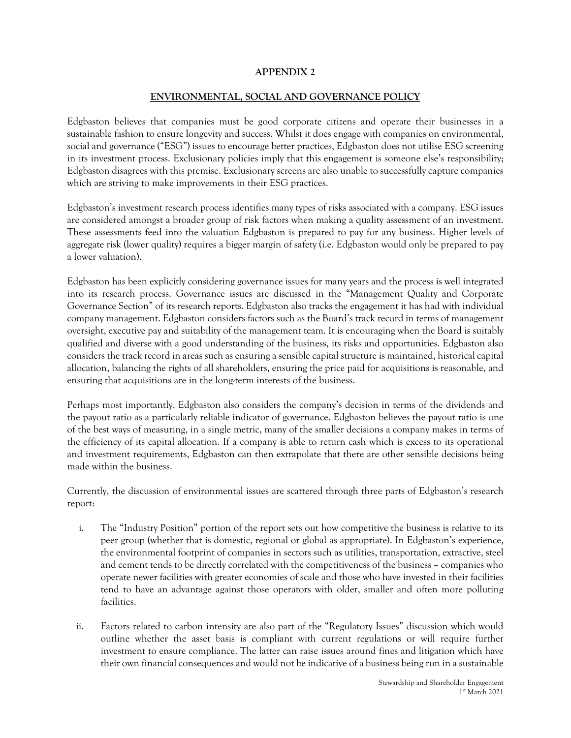# **APPENDIX 2**

### **ENVIRONMENTAL, SOCIAL AND GOVERNANCE POLICY**

Edgbaston believes that companies must be good corporate citizens and operate their businesses in a sustainable fashion to ensure longevity and success. Whilst it does engage with companies on environmental, social and governance ("ESG") issues to encourage better practices, Edgbaston does not utilise ESG screening in its investment process. Exclusionary policies imply that this engagement is someone else's responsibility; Edgbaston disagrees with this premise. Exclusionary screens are also unable to successfully capture companies which are striving to make improvements in their ESG practices.

Edgbaston's investment research process identifies many types of risks associated with a company. ESG issues are considered amongst a broader group of risk factors when making a quality assessment of an investment. These assessments feed into the valuation Edgbaston is prepared to pay for any business. Higher levels of aggregate risk (lower quality) requires a bigger margin of safety (i.e. Edgbaston would only be prepared to pay a lower valuation).

Edgbaston has been explicitly considering governance issues for many years and the process is well integrated into its research process. Governance issues are discussed in the "Management Quality and Corporate Governance Section" of its research reports. Edgbaston also tracks the engagement it has had with individual company management. Edgbaston considers factors such as the Board's track record in terms of management oversight, executive pay and suitability of the management team. It is encouraging when the Board is suitably qualified and diverse with a good understanding of the business, its risks and opportunities. Edgbaston also considers the track record in areas such as ensuring a sensible capital structure is maintained, historical capital allocation, balancing the rights of all shareholders, ensuring the price paid for acquisitions is reasonable, and ensuring that acquisitions are in the long-term interests of the business.

Perhaps most importantly, Edgbaston also considers the company's decision in terms of the dividends and the payout ratio as a particularly reliable indicator of governance. Edgbaston believes the payout ratio is one of the best ways of measuring, in a single metric, many of the smaller decisions a company makes in terms of the efficiency of its capital allocation. If a company is able to return cash which is excess to its operational and investment requirements, Edgbaston can then extrapolate that there are other sensible decisions being made within the business.

Currently, the discussion of environmental issues are scattered through three parts of Edgbaston's research report:

- i. The "Industry Position" portion of the report sets out how competitive the business is relative to its peer group (whether that is domestic, regional or global as appropriate). In Edgbaston's experience, the environmental footprint of companies in sectors such as utilities, transportation, extractive, steel and cement tends to be directly correlated with the competitiveness of the business – companies who operate newer facilities with greater economies of scale and those who have invested in their facilities tend to have an advantage against those operators with older, smaller and often more polluting facilities.
- ii. Factors related to carbon intensity are also part of the "Regulatory Issues" discussion which would outline whether the asset basis is compliant with current regulations or will require further investment to ensure compliance. The latter can raise issues around fines and litigation which have their own financial consequences and would not be indicative of a business being run in a sustainable